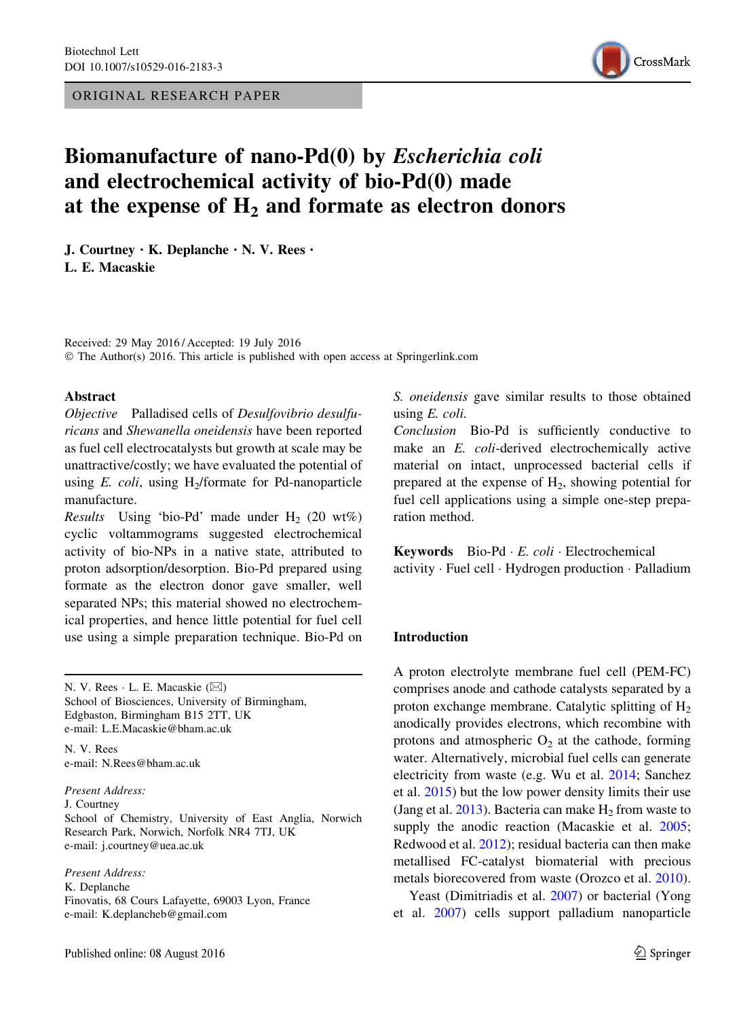ORIGINAL RESEARCH PAPER



# Biomanufacture of nano-Pd(0) by Escherichia coli and electrochemical activity of bio-Pd(0) made at the expense of  $H_2$  and formate as electron donors

J. Courtney  $\cdot$  K. Deplanche  $\cdot$  N. V. Rees  $\cdot$ L. E. Macaskie

Received: 29 May 2016 / Accepted: 19 July 2016 © The Author(s) 2016. This article is published with open access at Springerlink.com

#### Abstract

Objective Palladised cells of Desulfovibrio desulfuricans and Shewanella oneidensis have been reported as fuel cell electrocatalysts but growth at scale may be unattractive/costly; we have evaluated the potential of using  $E.$  coli, using  $H<sub>2</sub>/\text{formate}$  for Pd-nanoparticle manufacture.

*Results* Using 'bio-Pd' made under  $H_2$  (20 wt%) cyclic voltammograms suggested electrochemical activity of bio-NPs in a native state, attributed to proton adsorption/desorption. Bio-Pd prepared using formate as the electron donor gave smaller, well separated NPs; this material showed no electrochemical properties, and hence little potential for fuel cell use using a simple preparation technique. Bio-Pd on

N. V. Rees · L. E. Macaskie (⊠) School of Biosciences, University of Birmingham, Edgbaston, Birmingham B15 2TT, UK e-mail: L.E.Macaskie@bham.ac.uk

N. V. Rees e-mail: N.Rees@bham.ac.uk

Present Address:

J. Courtney

School of Chemistry, University of East Anglia, Norwich Research Park, Norwich, Norfolk NR4 7TJ, UK e-mail: j.courtney@uea.ac.uk

Present Address: K. Deplanche Finovatis, 68 Cours Lafayette, 69003 Lyon, France e-mail: K.deplancheb@gmail.com

S. oneidensis gave similar results to those obtained using E. coli.

Conclusion Bio-Pd is sufficiently conductive to make an *E. coli-derived* electrochemically active material on intact, unprocessed bacterial cells if prepared at the expense of  $H_2$ , showing potential for fuel cell applications using a simple one-step preparation method.

**Keywords** Bio-Pd  $\cdot$  *E. coli*  $\cdot$  Electrochemical activity - Fuel cell - Hydrogen production - Palladium

# Introduction

A proton electrolyte membrane fuel cell (PEM-FC) comprises anode and cathode catalysts separated by a proton exchange membrane. Catalytic splitting of  $H_2$ anodically provides electrons, which recombine with protons and atmospheric  $O_2$  at the cathode, forming water. Alternatively, microbial fuel cells can generate electricity from waste (e.g. Wu et al. [2014;](#page-7-0) Sanchez et al. [2015](#page-7-0)) but the low power density limits their use (Jang et al.  $2013$ ). Bacteria can make  $H_2$  from waste to supply the anodic reaction (Macaskie et al. [2005](#page-7-0); Redwood et al. [2012\)](#page-7-0); residual bacteria can then make metallised FC-catalyst biomaterial with precious metals biorecovered from waste (Orozco et al. [2010](#page-7-0)).

Yeast (Dimitriadis et al. [2007](#page-7-0)) or bacterial (Yong et al. [2007](#page-7-0)) cells support palladium nanoparticle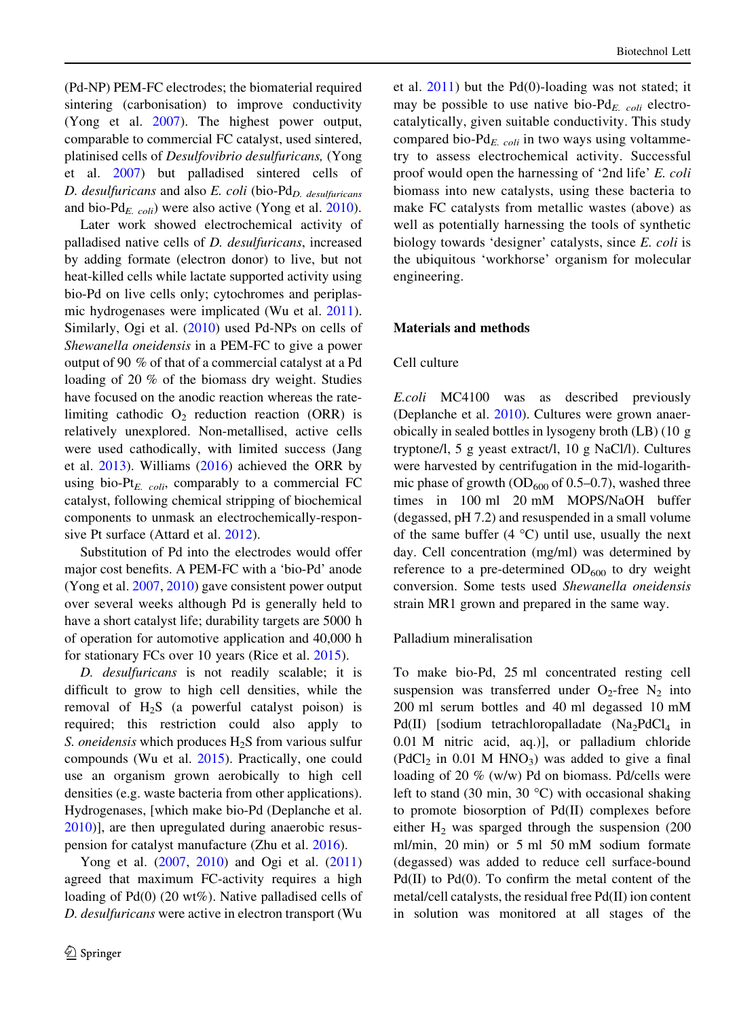(Pd-NP) PEM-FC electrodes; the biomaterial required sintering (carbonisation) to improve conductivity (Yong et al. [2007\)](#page-7-0). The highest power output, comparable to commercial FC catalyst, used sintered, platinised cells of Desulfovibrio desulfuricans, (Yong et al. [2007\)](#page-7-0) but palladised sintered cells of D. desulfuricans and also E. coli (bio- $Pd_{D.$  desulfuricans and bio- $Pd_{E.~coll}$ ) were also active (Yong et al. [2010](#page-7-0)).

Later work showed electrochemical activity of palladised native cells of D. desulfuricans, increased by adding formate (electron donor) to live, but not heat-killed cells while lactate supported activity using bio-Pd on live cells only; cytochromes and periplasmic hydrogenases were implicated (Wu et al. [2011](#page-7-0)). Similarly, Ogi et al. ([2010\)](#page-7-0) used Pd-NPs on cells of Shewanella oneidensis in a PEM-FC to give a power output of 90 % of that of a commercial catalyst at a Pd loading of 20 % of the biomass dry weight. Studies have focused on the anodic reaction whereas the ratelimiting cathodic  $O_2$  reduction reaction (ORR) is relatively unexplored. Non-metallised, active cells were used cathodically, with limited success (Jang et al. [2013\)](#page-7-0). Williams [\(2016](#page-7-0)) achieved the ORR by using bio-Pt $_{E.~coll}$ , comparably to a commercial FC catalyst, following chemical stripping of biochemical components to unmask an electrochemically-responsive Pt surface (Attard et al. [2012\)](#page-6-0).

Substitution of Pd into the electrodes would offer major cost benefits. A PEM-FC with a 'bio-Pd' anode (Yong et al. [2007,](#page-7-0) [2010\)](#page-7-0) gave consistent power output over several weeks although Pd is generally held to have a short catalyst life; durability targets are 5000 h of operation for automotive application and 40,000 h for stationary FCs over 10 years (Rice et al. [2015](#page-7-0)).

D. desulfuricans is not readily scalable; it is difficult to grow to high cell densities, while the removal of  $H_2S$  (a powerful catalyst poison) is required; this restriction could also apply to S. oneidensis which produces  $H_2S$  from various sulfur compounds (Wu et al. [2015\)](#page-7-0). Practically, one could use an organism grown aerobically to high cell densities (e.g. waste bacteria from other applications). Hydrogenases, [which make bio-Pd (Deplanche et al. [2010\)](#page-6-0)], are then upregulated during anaerobic resuspension for catalyst manufacture (Zhu et al. [2016](#page-7-0)).

Yong et al. ([2007,](#page-7-0) [2010](#page-7-0)) and Ogi et al. ([2011\)](#page-7-0) agreed that maximum FC-activity requires a high loading of Pd(0) (20 wt%). Native palladised cells of D. desulfuricans were active in electron transport (Wu

et al. [2011](#page-7-0)) but the Pd(0)-loading was not stated; it may be possible to use native bio- $Pd_{E,~coll}$  electrocatalytically, given suitable conductivity. This study compared bio-Pd<sub>E. coli</sub> in two ways using voltammetry to assess electrochemical activity. Successful proof would open the harnessing of '2nd life' E. coli biomass into new catalysts, using these bacteria to make FC catalysts from metallic wastes (above) as well as potentially harnessing the tools of synthetic biology towards 'designer' catalysts, since E. coli is the ubiquitous 'workhorse' organism for molecular engineering.

## Materials and methods

#### Cell culture

E.coli MC4100 was as described previously (Deplanche et al. [2010\)](#page-6-0). Cultures were grown anaerobically in sealed bottles in lysogeny broth (LB) (10 g tryptone/l, 5 g yeast extract/l, 10 g NaCl/l). Cultures were harvested by centrifugation in the mid-logarithmic phase of growth  $OD_{600}$  of 0.5–0.7), washed three times in 100 ml 20 mM MOPS/NaOH buffer (degassed, pH 7.2) and resuspended in a small volume of the same buffer  $(4 \degree C)$  until use, usually the next day. Cell concentration (mg/ml) was determined by reference to a pre-determined  $OD_{600}$  to dry weight conversion. Some tests used Shewanella oneidensis strain MR1 grown and prepared in the same way.

## Palladium mineralisation

To make bio-Pd, 25 ml concentrated resting cell suspension was transferred under  $O_2$ -free  $N_2$  into 200 ml serum bottles and 40 ml degassed 10 mM Pd(II) [sodium tetrachloropalladate  $(Na_2PdCl<sub>4</sub>$  in 0.01 M nitric acid, aq.)], or palladium chloride  $(PdCl<sub>2</sub>$  in 0.01 M HNO<sub>3</sub>) was added to give a final loading of 20 % (w/w) Pd on biomass. Pd/cells were left to stand (30 min, 30  $^{\circ}$ C) with occasional shaking to promote biosorption of Pd(II) complexes before either  $H_2$  was sparged through the suspension (200 ml/min, 20 min) or 5 ml 50 mM sodium formate (degassed) was added to reduce cell surface-bound Pd(II) to Pd(0). To confirm the metal content of the metal/cell catalysts, the residual free Pd(II) ion content in solution was monitored at all stages of the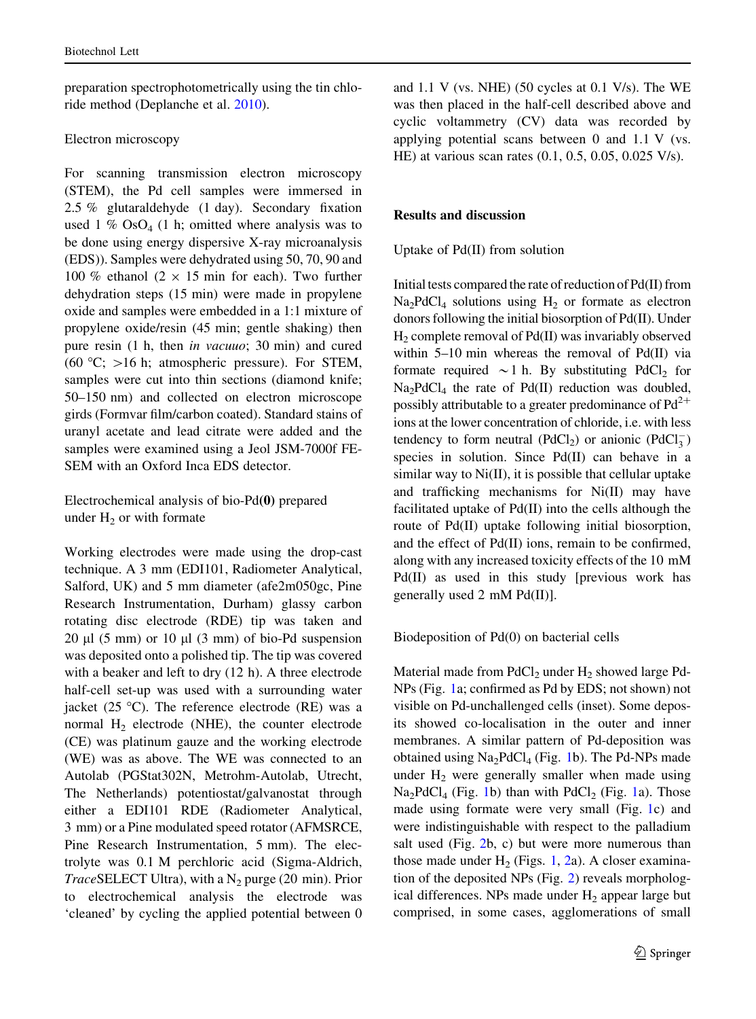preparation spectrophotometrically using the tin chloride method (Deplanche et al. [2010\)](#page-6-0).

## Electron microscopy

For scanning transmission electron microscopy (STEM), the Pd cell samples were immersed in 2.5 % glutaraldehyde (1 day). Secondary fixation used 1 %  $OsO<sub>4</sub>$  (1 h; omitted where analysis was to be done using energy dispersive X-ray microanalysis (EDS)). Samples were dehydrated using 50, 70, 90 and 100 % ethanol ( $2 \times 15$  min for each). Two further dehydration steps (15 min) were made in propylene oxide and samples were embedded in a 1:1 mixture of propylene oxide/resin (45 min; gentle shaking) then pure resin (1 h, then in vacuuo; 30 min) and cured (60 °C;  $>16$  h; atmospheric pressure). For STEM, samples were cut into thin sections (diamond knife; 50–150 nm) and collected on electron microscope girds (Formvar film/carbon coated). Standard stains of uranyl acetate and lead citrate were added and the samples were examined using a Jeol JSM-7000f FE-SEM with an Oxford Inca EDS detector.

Electrochemical analysis of bio-Pd(0) prepared under  $H_2$  or with formate

Working electrodes were made using the drop-cast technique. A 3 mm (EDI101, Radiometer Analytical, Salford, UK) and 5 mm diameter (afe2m050gc, Pine Research Instrumentation, Durham) glassy carbon rotating disc electrode (RDE) tip was taken and 20  $\mu$ l (5 mm) or 10  $\mu$ l (3 mm) of bio-Pd suspension was deposited onto a polished tip. The tip was covered with a beaker and left to dry (12 h). A three electrode half-cell set-up was used with a surrounding water jacket (25  $^{\circ}$ C). The reference electrode (RE) was a normal  $H_2$  electrode (NHE), the counter electrode (CE) was platinum gauze and the working electrode (WE) was as above. The WE was connected to an Autolab (PGStat302N, Metrohm-Autolab, Utrecht, The Netherlands) potentiostat/galvanostat through either a EDI101 RDE (Radiometer Analytical, 3 mm) or a Pine modulated speed rotator (AFMSRCE, Pine Research Instrumentation, 5 mm). The electrolyte was 0.1 M perchloric acid (Sigma-Aldrich, *TraceSELECT Ultra)*, with a  $N_2$  purge (20 min). Prior to electrochemical analysis the electrode was 'cleaned' by cycling the applied potential between 0 and  $1.1$  V (vs. NHE) (50 cycles at 0.1 V/s). The WE was then placed in the half-cell described above and cyclic voltammetry (CV) data was recorded by applying potential scans between 0 and 1.1 V (vs. HE) at various scan rates (0.1, 0.5, 0.05, 0.025 V/s).

# Results and discussion

# Uptake of Pd(II) from solution

Initial tests compared the rate of reduction of Pd(II) from  $Na<sub>2</sub>PdCl<sub>4</sub>$  solutions using  $H<sub>2</sub>$  or formate as electron donors following the initial biosorption of Pd(II). Under  $H<sub>2</sub>$  complete removal of Pd(II) was invariably observed within  $5-10$  min whereas the removal of Pd(II) via formate required  $\sim$ 1 h. By substituting PdCl<sub>2</sub> for  $Na<sub>2</sub>PdCl<sub>4</sub>$  the rate of Pd(II) reduction was doubled, possibly attributable to a greater predominance of  $Pd^{2+}$ ions at the lower concentration of chloride, i.e. with less tendency to form neutral  $(PdCl<sub>2</sub>)$  or anionic  $(PdCl<sub>3</sub>)$ species in solution. Since Pd(II) can behave in a similar way to Ni(II), it is possible that cellular uptake and trafficking mechanisms for Ni(II) may have facilitated uptake of Pd(II) into the cells although the route of Pd(II) uptake following initial biosorption, and the effect of Pd(II) ions, remain to be confirmed, along with any increased toxicity effects of the 10 mM Pd(II) as used in this study [previous work has generally used 2 mM Pd(II)].

Biodeposition of Pd(0) on bacterial cells

Material made from  $PdCl<sub>2</sub>$  under  $H<sub>2</sub>$  showed large Pd-NPs (Fig. [1a](#page-4-0); confirmed as Pd by EDS; not shown) not visible on Pd-unchallenged cells (inset). Some deposits showed co-localisation in the outer and inner membranes. A similar pattern of Pd-deposition was obtained using  $Na<sub>2</sub>PdCl<sub>4</sub>$  (Fig. [1b](#page-4-0)). The Pd-NPs made under  $H_2$  were generally smaller when made using  $Na<sub>2</sub>PdCl<sub>4</sub>$  (Fig. [1b](#page-4-0)) than with  $PdCl<sub>2</sub>$  (Fig. [1](#page-4-0)a). Those made using formate were very small (Fig. [1](#page-4-0)c) and were indistinguishable with respect to the palladium salt used (Fig. [2](#page-4-0)b, c) but were more numerous than those made under  $H_2$  (Figs. [1](#page-4-0), [2a](#page-4-0)). A closer examination of the deposited NPs (Fig. [2](#page-4-0)) reveals morphological differences. NPs made under  $H_2$  appear large but comprised, in some cases, agglomerations of small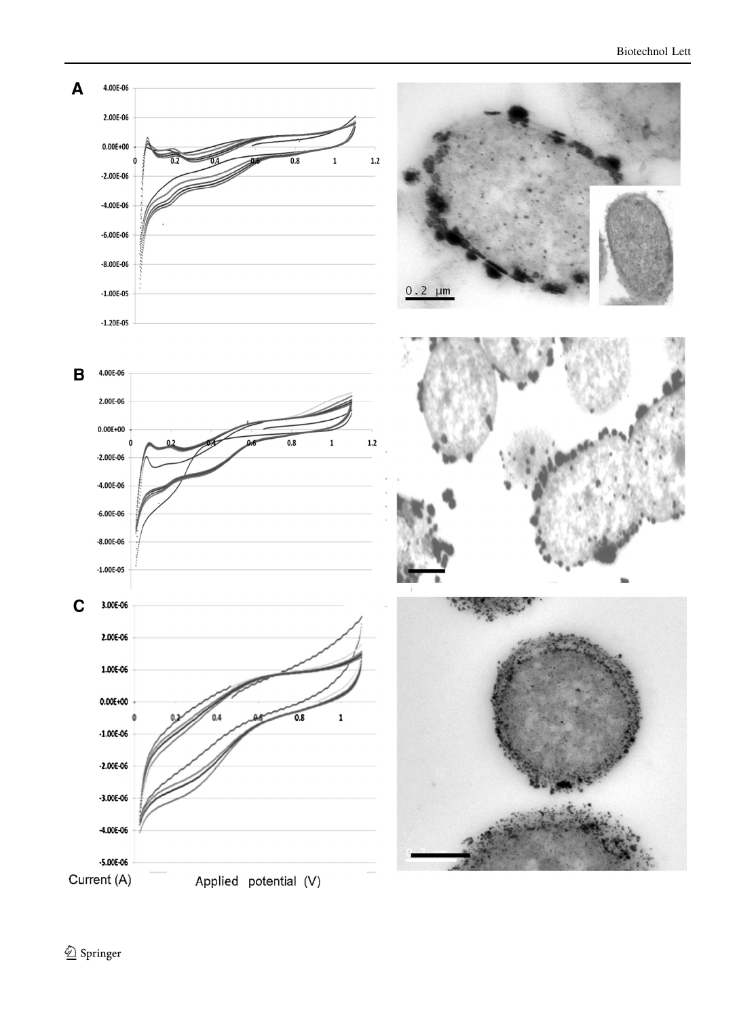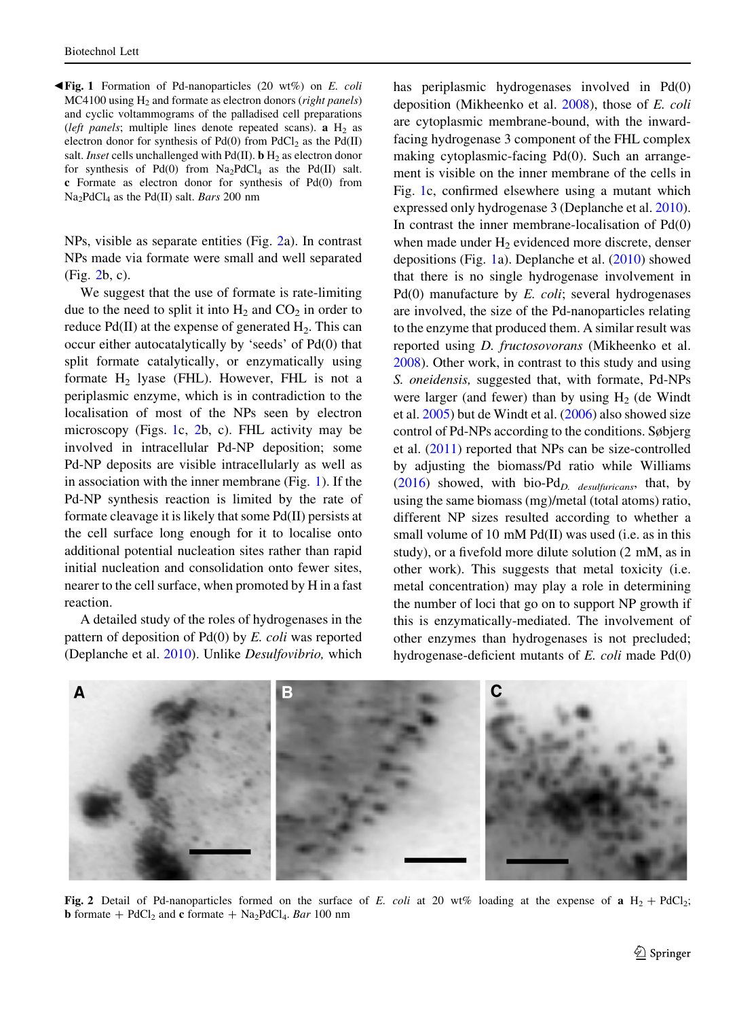<span id="page-4-0"></span>b Fig. 1 Formation of Pd-nanoparticles (20 wt%) on E. coli  $MC4100$  using  $H_2$  and formate as electron donors (*right panels*) and cyclic voltammograms of the palladised cell preparations (left panels; multiple lines denote repeated scans).  $\mathbf{a}$  H<sub>2</sub> as electron donor for synthesis of  $Pd(0)$  from  $PdCl<sub>2</sub>$  as the  $Pd(II)$ salt. *Inset* cells unchallenged with Pd(II).  $\mathbf{b}$  H<sub>2</sub> as electron donor for synthesis of Pd(0) from  $Na<sub>2</sub>PdCl<sub>4</sub>$  as the Pd(II) salt. c Formate as electron donor for synthesis of Pd(0) from  $Na<sub>2</sub>PdCl<sub>4</sub>$  as the Pd(II) salt. *Bars* 200 nm

NPs, visible as separate entities (Fig. 2a). In contrast NPs made via formate were small and well separated (Fig. 2b, c).

We suggest that the use of formate is rate-limiting due to the need to split it into  $H_2$  and  $CO_2$  in order to reduce Pd(II) at the expense of generated  $H_2$ . This can occur either autocatalytically by 'seeds' of Pd(0) that split formate catalytically, or enzymatically using formate  $H_2$  lyase (FHL). However, FHL is not a periplasmic enzyme, which is in contradiction to the localisation of most of the NPs seen by electron microscopy (Figs. 1c, 2b, c). FHL activity may be involved in intracellular Pd-NP deposition; some Pd-NP deposits are visible intracellularly as well as in association with the inner membrane (Fig. 1). If the Pd-NP synthesis reaction is limited by the rate of formate cleavage it is likely that some Pd(II) persists at the cell surface long enough for it to localise onto additional potential nucleation sites rather than rapid initial nucleation and consolidation onto fewer sites, nearer to the cell surface, when promoted by H in a fast reaction.

A detailed study of the roles of hydrogenases in the pattern of deposition of  $Pd(0)$  by E. coli was reported (Deplanche et al. [2010\)](#page-6-0). Unlike Desulfovibrio, which has periplasmic hydrogenases involved in Pd(0) deposition (Mikheenko et al. [2008\)](#page-7-0), those of E. coli are cytoplasmic membrane-bound, with the inwardfacing hydrogenase 3 component of the FHL complex making cytoplasmic-facing Pd(0). Such an arrangement is visible on the inner membrane of the cells in Fig. 1c, confirmed elsewhere using a mutant which expressed only hydrogenase 3 (Deplanche et al. [2010](#page-6-0)). In contrast the inner membrane-localisation of Pd(0) when made under  $H_2$  evidenced more discrete, denser depositions (Fig. 1a). Deplanche et al. ([2010\)](#page-6-0) showed that there is no single hydrogenase involvement in Pd $(0)$  manufacture by E. coli; several hydrogenases are involved, the size of the Pd-nanoparticles relating to the enzyme that produced them. A similar result was reported using D. fructosovorans (Mikheenko et al. [2008\)](#page-7-0). Other work, in contrast to this study and using S. oneidensis, suggested that, with formate, Pd-NPs were larger (and fewer) than by using  $H<sub>2</sub>$  (de Windt et al. [2005\)](#page-6-0) but de Windt et al. ([2006\)](#page-6-0) also showed size control of Pd-NPs according to the conditions. Søbjerg et al. [\(2011](#page-7-0)) reported that NPs can be size-controlled by adjusting the biomass/Pd ratio while Williams [\(2016](#page-7-0)) showed, with bio- $Pd_{D.$  desulfuricans, that, by using the same biomass (mg)/metal (total atoms) ratio, different NP sizes resulted according to whether a small volume of 10 mM Pd(II) was used (i.e. as in this study), or a fivefold more dilute solution (2 mM, as in other work). This suggests that metal toxicity (i.e. metal concentration) may play a role in determining the number of loci that go on to support NP growth if this is enzymatically-mediated. The involvement of other enzymes than hydrogenases is not precluded; hydrogenase-deficient mutants of E. coli made Pd(0)



Fig. 2 Detail of Pd-nanoparticles formed on the surface of E. coli at 20 wt% loading at the expense of a H<sub>2</sub> + PdCl<sub>2</sub>; **b** formate + PdCl<sub>2</sub> and **c** formate + Na<sub>2</sub>PdCl<sub>4</sub>. *Bar* 100 nm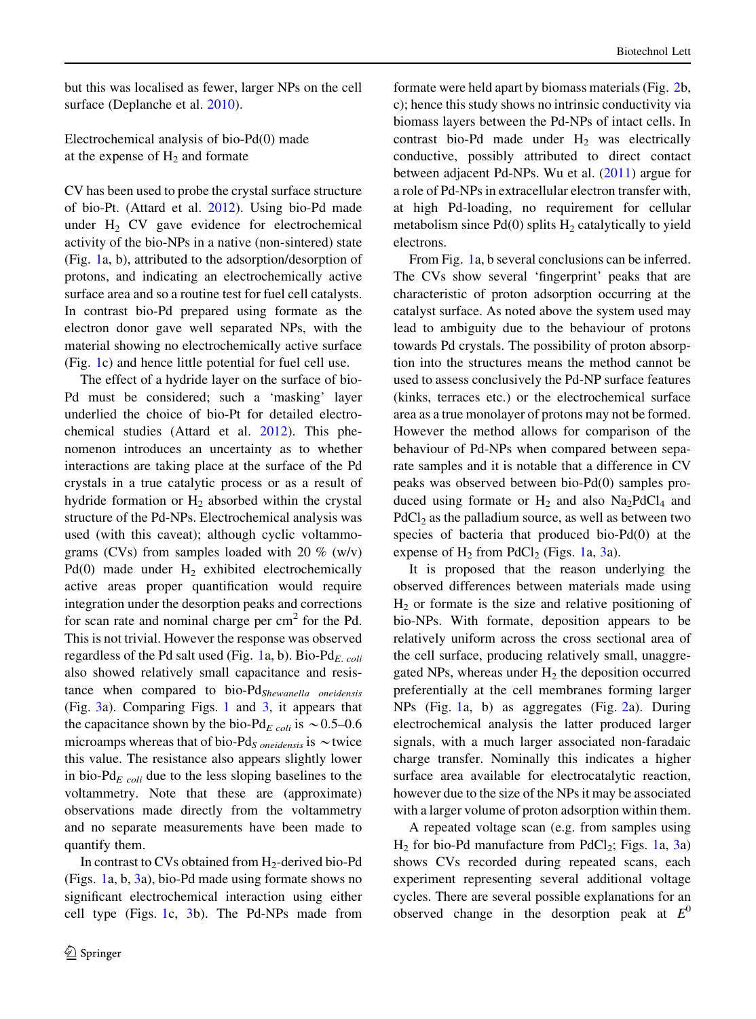but this was localised as fewer, larger NPs on the cell surface (Deplanche et al. [2010](#page-6-0)).

Electrochemical analysis of bio-Pd(0) made at the expense of  $H_2$  and formate

CV has been used to probe the crystal surface structure of bio-Pt. (Attard et al. [2012\)](#page-6-0). Using bio-Pd made under  $H_2$  CV gave evidence for electrochemical activity of the bio-NPs in a native (non-sintered) state (Fig. [1](#page-4-0)a, b), attributed to the adsorption/desorption of protons, and indicating an electrochemically active surface area and so a routine test for fuel cell catalysts. In contrast bio-Pd prepared using formate as the electron donor gave well separated NPs, with the material showing no electrochemically active surface (Fig. [1](#page-4-0)c) and hence little potential for fuel cell use.

The effect of a hydride layer on the surface of bio-Pd must be considered; such a 'masking' layer underlied the choice of bio-Pt for detailed electrochemical studies (Attard et al. [2012](#page-6-0)). This phenomenon introduces an uncertainty as to whether interactions are taking place at the surface of the Pd crystals in a true catalytic process or as a result of hydride formation or  $H_2$  absorbed within the crystal structure of the Pd-NPs. Electrochemical analysis was used (with this caveat); although cyclic voltammograms (CVs) from samples loaded with 20  $\%$  (w/v) Pd(0) made under  $H_2$  exhibited electrochemically active areas proper quantification would require integration under the desorption peaks and corrections for scan rate and nominal charge per  $\text{cm}^2$  for the Pd. This is not trivial. However the response was observed regardless of the Pd salt used (Fig. [1a](#page-4-0), b). Bio-Pd $_{E. \, coll}$ also showed relatively small capacitance and resistance when compared to bio-Pd<sub>Shewanella oneidensis</sub> (Fig. [3](#page-6-0)a). Comparing Figs. [1](#page-4-0) and [3,](#page-6-0) it appears that the capacitance shown by the bio-Pd<sub>E coli</sub> is  $\sim$  0.5–0.6 microamps whereas that of bio-Pd<sub>S oneidensis</sub> is  $\sim$  twice this value. The resistance also appears slightly lower in bio- $Pd_{E\, coli}$  due to the less sloping baselines to the voltammetry. Note that these are (approximate) observations made directly from the voltammetry and no separate measurements have been made to quantify them.

In contrast to CVs obtained from  $H_2$ -derived bio-Pd (Figs. [1](#page-4-0)a, b, [3](#page-6-0)a), bio-Pd made using formate shows no significant electrochemical interaction using either cell type (Figs. [1](#page-4-0)c, [3b](#page-6-0)). The Pd-NPs made from formate were held apart by biomass materials (Fig. [2b](#page-4-0), c); hence this study shows no intrinsic conductivity via biomass layers between the Pd-NPs of intact cells. In contrast bio-Pd made under  $H_2$  was electrically conductive, possibly attributed to direct contact between adjacent Pd-NPs. Wu et al. [\(2011](#page-7-0)) argue for a role of Pd-NPs in extracellular electron transfer with, at high Pd-loading, no requirement for cellular metabolism since  $Pd(0)$  splits  $H_2$  catalytically to yield electrons.

From Fig. [1a](#page-4-0), b several conclusions can be inferred. The CVs show several 'fingerprint' peaks that are characteristic of proton adsorption occurring at the catalyst surface. As noted above the system used may lead to ambiguity due to the behaviour of protons towards Pd crystals. The possibility of proton absorption into the structures means the method cannot be used to assess conclusively the Pd-NP surface features (kinks, terraces etc.) or the electrochemical surface area as a true monolayer of protons may not be formed. However the method allows for comparison of the behaviour of Pd-NPs when compared between separate samples and it is notable that a difference in CV peaks was observed between bio-Pd(0) samples produced using formate or  $H_2$  and also Na<sub>2</sub>PdCl<sub>4</sub> and  $PdCl<sub>2</sub>$  as the palladium source, as well as between two species of bacteria that produced bio-Pd(0) at the expense of  $H_2$  from PdCl<sub>2</sub> (Figs. [1a](#page-4-0), [3](#page-6-0)a).

It is proposed that the reason underlying the observed differences between materials made using  $H<sub>2</sub>$  or formate is the size and relative positioning of bio-NPs. With formate, deposition appears to be relatively uniform across the cross sectional area of the cell surface, producing relatively small, unaggregated NPs, whereas under  $H_2$  the deposition occurred preferentially at the cell membranes forming larger NPs (Fig. [1](#page-4-0)a, b) as aggregates (Fig. [2](#page-4-0)a). During electrochemical analysis the latter produced larger signals, with a much larger associated non-faradaic charge transfer. Nominally this indicates a higher surface area available for electrocatalytic reaction, however due to the size of the NPs it may be associated with a larger volume of proton adsorption within them.

A repeated voltage scan (e.g. from samples using  $H_2$  for bio-Pd manufacture from PdCl<sub>2</sub>; Figs. [1](#page-4-0)a, [3](#page-6-0)a) shows CVs recorded during repeated scans, each experiment representing several additional voltage cycles. There are several possible explanations for an observed change in the desorption peak at  $E^0$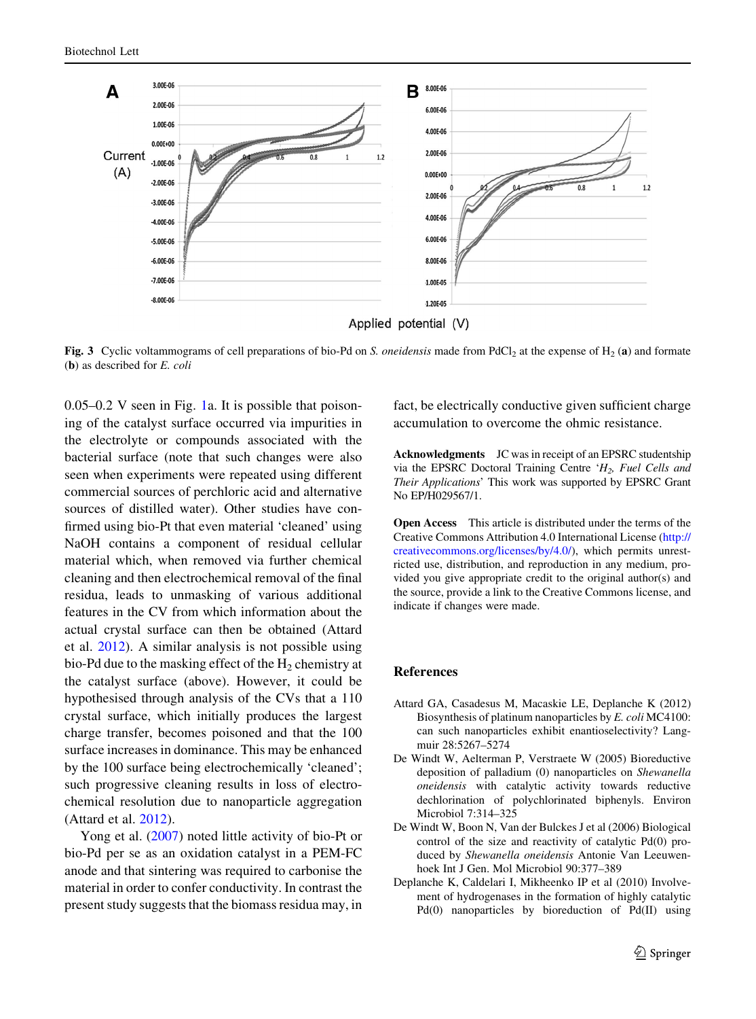<span id="page-6-0"></span>

Fig. 3 Cyclic voltammograms of cell preparations of bio-Pd on S. *oneidensis* made from PdCl<sub>2</sub> at the expense of H<sub>2</sub> (a) and formate (b) as described for E. coli

0.05–0.2 V seen in Fig. [1](#page-4-0)a. It is possible that poisoning of the catalyst surface occurred via impurities in the electrolyte or compounds associated with the bacterial surface (note that such changes were also seen when experiments were repeated using different commercial sources of perchloric acid and alternative sources of distilled water). Other studies have confirmed using bio-Pt that even material 'cleaned' using NaOH contains a component of residual cellular material which, when removed via further chemical cleaning and then electrochemical removal of the final residua, leads to unmasking of various additional features in the CV from which information about the actual crystal surface can then be obtained (Attard et al. 2012). A similar analysis is not possible using bio-Pd due to the masking effect of the  $H_2$  chemistry at the catalyst surface (above). However, it could be hypothesised through analysis of the CVs that a 110 crystal surface, which initially produces the largest charge transfer, becomes poisoned and that the 100 surface increases in dominance. This may be enhanced by the 100 surface being electrochemically 'cleaned'; such progressive cleaning results in loss of electrochemical resolution due to nanoparticle aggregation (Attard et al. 2012).

Yong et al. [\(2007](#page-7-0)) noted little activity of bio-Pt or bio-Pd per se as an oxidation catalyst in a PEM-FC anode and that sintering was required to carbonise the material in order to confer conductivity. In contrast the present study suggests that the biomass residua may, in

fact, be electrically conductive given sufficient charge accumulation to overcome the ohmic resistance.

Acknowledgments JC was in receipt of an EPSRC studentship via the EPSRC Doctoral Training Centre  $H<sub>2</sub>$ , Fuel Cells and Their Applications' This work was supported by EPSRC Grant No EP/H029567/1.

Open Access This article is distributed under the terms of the Creative Commons Attribution 4.0 International License ([http://](http://creativecommons.org/licenses/by/4.0/) [creativecommons.org/licenses/by/4.0/\)](http://creativecommons.org/licenses/by/4.0/), which permits unrestricted use, distribution, and reproduction in any medium, provided you give appropriate credit to the original author(s) and the source, provide a link to the Creative Commons license, and indicate if changes were made.

#### References

- Attard GA, Casadesus M, Macaskie LE, Deplanche K (2012) Biosynthesis of platinum nanoparticles by E. coli MC4100: can such nanoparticles exhibit enantioselectivity? Langmuir 28:5267–5274
- De Windt W, Aelterman P, Verstraete W (2005) Bioreductive deposition of palladium (0) nanoparticles on Shewanella oneidensis with catalytic activity towards reductive dechlorination of polychlorinated biphenyls. Environ Microbiol 7:314–325
- De Windt W, Boon N, Van der Bulckes J et al (2006) Biological control of the size and reactivity of catalytic Pd(0) produced by Shewanella oneidensis Antonie Van Leeuwenhoek Int J Gen. Mol Microbiol 90:377–389
- Deplanche K, Caldelari I, Mikheenko IP et al (2010) Involvement of hydrogenases in the formation of highly catalytic Pd(0) nanoparticles by bioreduction of Pd(II) using